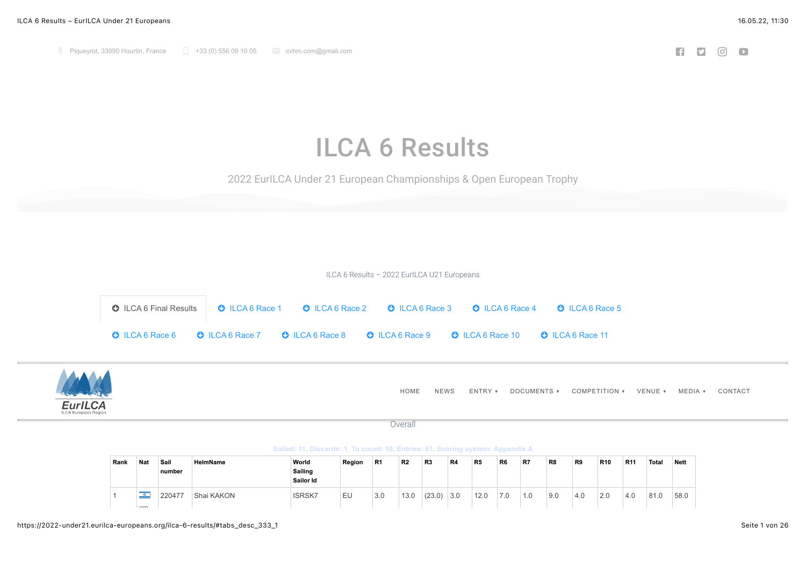## ILCA 6 Results

2022 EurILCA Under 21 European Championships & Open European Trophy

ILCA 6 Results – 2022 EurILCA U21 Europeans

<span id="page-0-0"></span>



**Sailed: 11, Discards: 1, To count: 10, Entries: 61, Scoring system: Appendix A**

| Rank | Nat           | Sail<br>∣number | HelmName   | World<br>Sailing<br>Sailor Id | Region | R <sub>1</sub> | R <sub>2</sub> | R3     | R4  | R5   | R6  | R7  | R8  | R9  | <b>R10</b> | R <sub>11</sub> | Total | <b>Nett</b> |
|------|---------------|-----------------|------------|-------------------------------|--------|----------------|----------------|--------|-----|------|-----|-----|-----|-----|------------|-----------------|-------|-------------|
|      | ___<br>$\sim$ | 220477          | Shai KAKON | <b>ISRSK7</b>                 | EU     | 3.0            | 13.0           | (23.0) | 3.0 | 12.0 | 7.0 | 1.0 | 9.0 | 4.0 | 2.0        | 4.0             | 81.0  | 58.0        |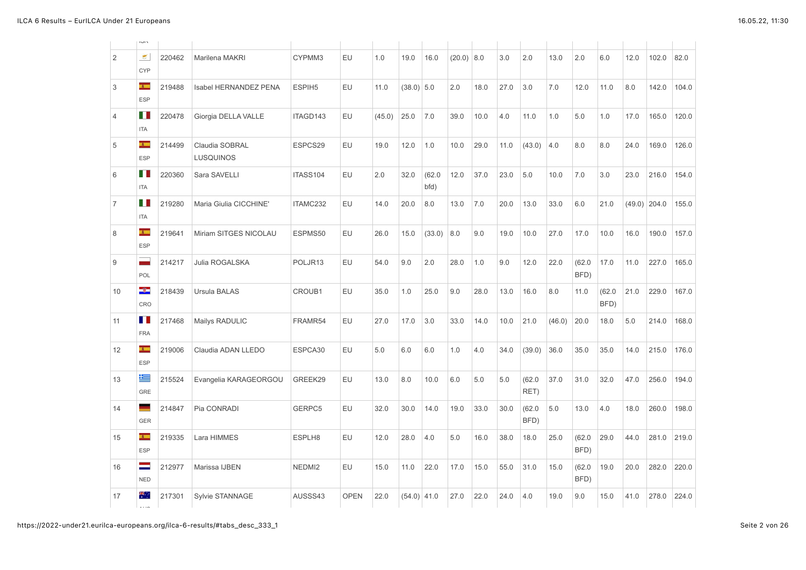|                | <b>NGI</b>                   |        |                             |                    |             |        |               |                |        |      |      |                |        |                |                |                |       |       |
|----------------|------------------------------|--------|-----------------------------|--------------------|-------------|--------|---------------|----------------|--------|------|------|----------------|--------|----------------|----------------|----------------|-------|-------|
| $\overline{2}$ | $\mathfrak{S}$<br><b>CYP</b> | 220462 | Marilena MAKRI              | CYPMM3             | EU          | 1.0    | 19.0          | 16.0           | (20.0) | 8.0  | 3.0  | 2.0            | 13.0   | 2.0            | 6.0            | 12.0           | 102.0 | 82.0  |
| 3              | F<br><b>ESP</b>              | 219488 | Isabel HERNANDEZ PENA       | ESPIH <sub>5</sub> | EU          | 11.0   | $(38.0)$ 5.0  |                | 2.0    | 18.0 | 27.0 | 3.0            | 7.0    | 12.0           | 11.0           | 8.0            | 142.0 | 104.0 |
| 4              | П<br><b>ITA</b>              | 220478 | Giorgia DELLA VALLE         | ITAGD143           | EU          | (45.0) | 25.0          | 7.0            | 39.0   | 10.0 | 4.0  | 11.0           | 1.0    | 5.0            | 1.0            | 17.0           | 165.0 | 120.0 |
| 5              | <b>A</b><br><b>ESP</b>       | 214499 | Claudia SOBRAL<br>LUSQUINOS | ESPCS29            | EU          | 19.0   | 12.0          | 1.0            | 10.0   | 29.0 | 11.0 | (43.0)         | 4.0    | 8.0            | 8.0            | 24.0           | 169.0 | 126.0 |
| 6              | Ш<br><b>ITA</b>              | 220360 | Sara SAVELLI                | ITASS104           | EU          | 2.0    | 32.0          | (62.0)<br>bfd) | 12.0   | 37.0 | 23.0 | 5.0            | 10.0   | 7.0            | 3.0            | 23.0           | 216.0 | 154.0 |
| $\overline{7}$ | Ш<br><b>ITA</b>              | 219280 | Maria Giulia CICCHINE'      | ITAMC232           | EU          | 14.0   | 20.0          | 8.0            | 13.0   | 7.0  | 20.0 | 13.0           | 33.0   | 6.0            | 21.0           | $(49.0)$ 204.0 |       | 155.0 |
| 8              | Ŧ<br><b>ESP</b>              | 219641 | Miriam SITGES NICOLAU       | ESPMS50            | <b>EU</b>   | 26.0   | 15.0          | (33.0)         | 8.0    | 9.0  | 19.0 | 10.0           | 27.0   | 17.0           | 10.0           | 16.0           | 190.0 | 157.0 |
| 9              | ۰<br>POL                     | 214217 | Julia ROGALSKA              | POLJR13            | EU          | 54.0   | 9.0           | 2.0            | 28.0   | 1.0  | 9.0  | 12.0           | 22.0   | (62.0)<br>BFD) | 17.0           | 11.0           | 227.0 | 165.0 |
| 10             | -3-<br>CRO                   | 218439 | <b>Ursula BALAS</b>         | CROUB1             | EU          | 35.0   | 1.0           | 25.0           | 9.0    | 28.0 | 13.0 | 16.0           | 8.0    | 11.0           | (62.0)<br>BFD) | 21.0           | 229.0 | 167.0 |
| 11             | П<br><b>FRA</b>              | 217468 | Mailys RADULIC              | FRAMR54            | <b>EU</b>   | 27.0   | 17.0          | 3.0            | 33.0   | 14.0 | 10.0 | 21.0           | (46.0) | 20.0           | 18.0           | 5.0            | 214.0 | 168.0 |
| 12             | æ.<br><b>ESP</b>             | 219006 | Claudia ADAN LLEDO          | ESPCA30            | EU          | 5.0    | 6.0           | 6.0            | 1.0    | 4.0  | 34.0 | (39.0)         | 36.0   | 35.0           | 35.0           | 14.0           | 215.0 | 176.0 |
| 13             | 与<br><b>GRE</b>              | 215524 | Evangelia KARAGEORGOU       | GREEK29            | EU          | 13.0   | 8.0           | 10.0           | 6.0    | 5.0  | 5.0  | (62.0)<br>RET) | 37.0   | 31.0           | 32.0           | 47.0           | 256.0 | 194.0 |
| 14             | a<br>Ma<br><b>GER</b>        | 214847 | Pia CONRADI                 | GERPC5             | EU          | 32.0   | 30.0          | 14.0           | 19.0   | 33.0 | 30.0 | (62.0)<br>BFD) | 5.0    | 13.0           | 4.0            | 18.0           | 260.0 | 198.0 |
| 15             | $\mathbf{H}$<br><b>ESP</b>   | 219335 | Lara HIMMES                 | ESPLH8             | EU          | 12.0   | 28.0          | 4.0            | 5.0    | 16.0 | 38.0 | 18.0           | 25.0   | (62.0)<br>BFD) | 29.0           | 44.0           | 281.0 | 219.0 |
| 16             | =<br><b>NED</b>              | 212977 | Marissa IJBEN               | NEDMI2             | EU          | 15.0   | 11.0          | 22.0           | 17.0   | 15.0 | 55.0 | 31.0           | 15.0   | (62.0)<br>BFD) | 19.0           | 20.0           | 282.0 | 220.0 |
| 17             | ₩.,<br>$\cdots$              | 217301 | <b>Sylvie STANNAGE</b>      | AUSSS43            | <b>OPEN</b> | 22.0   | $(54.0)$ 41.0 |                | 27.0   | 22.0 | 24.0 | 4.0            | 19.0   | 9.0            | 15.0           | 41.0           | 278.0 | 224.0 |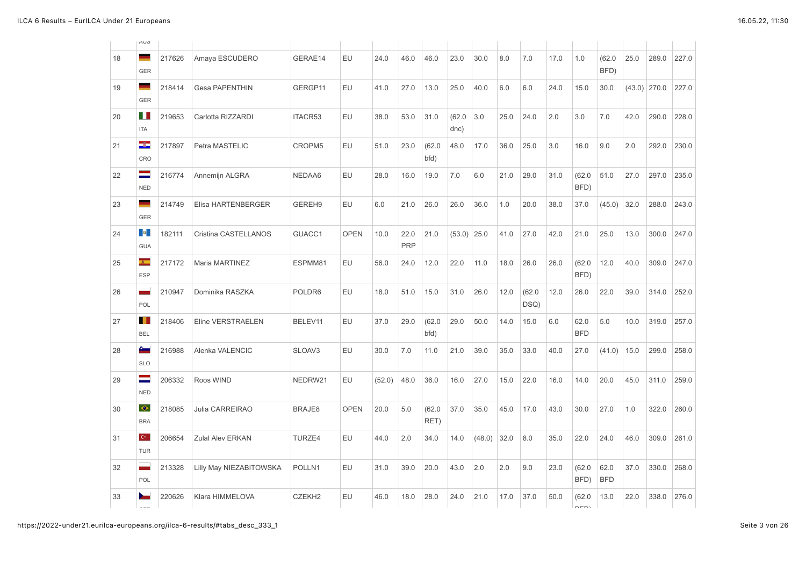|    | <b>AUS</b>                           |        |                         |                    |             |        |                    |                |                |        |      |                |      |                    |                    |                |       |       |
|----|--------------------------------------|--------|-------------------------|--------------------|-------------|--------|--------------------|----------------|----------------|--------|------|----------------|------|--------------------|--------------------|----------------|-------|-------|
| 18 | ٠<br><b>GER</b>                      | 217626 | Amaya ESCUDERO          | GERAE14            | EU          | 24.0   | 46.0               | 46.0           | 23.0           | 30.0   | 8.0  | 7.0            | 17.0 | 1.0                | (62.0)<br>BFD)     | 25.0           | 289.0 | 227.0 |
| 19 | ٠<br><b>GER</b>                      | 218414 | <b>Gesa PAPENTHIN</b>   | GERGP11            | EU          | 41.0   | 27.0               | 13.0           | 25.0           | 40.0   | 6.0  | 6.0            | 24.0 | 15.0               | 30.0               | $(43.0)$ 270.0 |       | 227.0 |
| 20 | H.<br><b>ITA</b>                     | 219653 | Carlotta RIZZARDI       | ITACR53            | EU          | 38.0   | 53.0               | 31.0           | (62.0)<br>dnc) | 3.0    | 25.0 | 24.0           | 2.0  | 3.0                | 7.0                | 42.0           | 290.0 | 228.0 |
| 21 | ÷<br>CRO                             | 217897 | Petra MASTELIC          | CROPM5             | EU          | 51.0   | 23.0               | (62.0)<br>bfd) | 48.0           | 17.0   | 36.0 | 25.0           | 3.0  | 16.0               | 9.0                | 2.0            | 292.0 | 230.0 |
| 22 | $\equiv$<br><b>NED</b>               | 216774 | Annemijn ALGRA          | NEDAA6             | EU          | 28.0   | 16.0               | 19.0           | 7.0            | 6.0    | 21.0 | 29.0           | 31.0 | (62.0)<br>BFD)     | 51.0               | 27.0           | 297.0 | 235.0 |
| 23 | ۰<br><b>GER</b>                      | 214749 | Elisa HARTENBERGER      | GEREH9             | EU          | 6.0    | 21.0               | 26.0           | 26.0           | 36.0   | 1.0  | 20.0           | 38.0 | 37.0               | (45.0)             | 32.0           | 288.0 | 243.0 |
| 24 | ⊙ <mark>e</mark> r<br><b>GUA</b>     | 182111 | Cristina CASTELLANOS    | GUACC1             | <b>OPEN</b> | 10.0   | 22.0<br><b>PRP</b> | 21.0           | (53.0)         | 25.0   | 41.0 | 27.0           | 42.0 | 21.0               | 25.0               | 13.0           | 300.0 | 247.0 |
| 25 | <b>A</b><br>ESP                      | 217172 | Maria MARTINEZ          | ESPMM81            | EU          | 56.0   | 24.0               | 12.0           | 22.0           | 11.0   | 18.0 | 26.0           | 26.0 | (62.0)<br>BFD)     | 12.0               | 40.0           | 309.0 | 247.0 |
| 26 | ٠<br>POL                             | 210947 | Dominika RASZKA         | POLDR6             | EU          | 18.0   | 51.0               | 15.0           | 31.0           | 26.0   | 12.0 | (62.0)<br>DSQ) | 12.0 | 26.0               | 22.0               | 39.0           | 314.0 | 252.0 |
| 27 | <b>BEL</b>                           | 218406 | Eline VERSTRAELEN       | BELEV11            | EU          | 37.0   | 29.0               | (62.0)<br>bfd) | 29.0           | 50.0   | 14.0 | 15.0           | 6.0  | 62.0<br><b>BFD</b> | 5.0                | 10.0           | 319.0 | 257.0 |
| 28 | ŝ.<br><b>SLO</b>                     | 216988 | Alenka VALENCIC         | SLOAV3             | EU          | 30.0   | 7.0                | 11.0           | 21.0           | 39.0   | 35.0 | 33.0           | 40.0 | 27.0               | (41.0)             | 15.0           | 299.0 | 258.0 |
| 29 | ⋍<br><b>NED</b>                      | 206332 | Roos WIND               | NEDRW21            | EU          | (52.0) | 48.0               | 36.0           | 16.0           | 27.0   | 15.0 | 22.0           | 16.0 | 14.0               | 20.0               | 45.0           | 311.0 | 259.0 |
| 30 | $\bullet$<br><b>BRA</b>              | 218085 | <b>Julia CARREIRAO</b>  | BRAJE8             | <b>OPEN</b> | 20.0   | 5.0                | (62.0)<br>RET) | 37.0           | 35.0   | 45.0 | 17.0           | 43.0 | 30.0               | 27.0               | 1.0            | 322.0 | 260.0 |
| 31 | $\mathbf{C}^{\star}$ .<br><b>TUR</b> | 206654 | <b>Zulal Alev ERKAN</b> | TURZE4             | EU          | 44.0   | 2.0                | 34.0           | 14.0           | (48.0) | 32.0 | 8.0            | 35.0 | 22.0               | 24.0               | 46.0           | 309.0 | 261.0 |
| 32 | ۰<br>POL                             | 213328 | Lilly May NIEZABITOWSKA | POLLN1             | EU          | 31.0   | 39.0               | 20.0           | 43.0           | 2.0    | 2.0  | 9.0            | 23.0 | (62.0)<br>BFD)     | 62.0<br><b>BFD</b> | 37.0           | 330.0 | 268.0 |
| 33 | $\sim$                               | 220626 | Klara HIMMELOVA         | CZEKH <sub>2</sub> | EU          | 46.0   | 18.0               | 28.0           | 24.0           | 21.0   | 17.0 | 37.0           | 50.0 | (62.0)<br>$n - n$  | 13.0               | 22.0           | 338.0 | 276.0 |
|    |                                      |        |                         |                    |             |        |                    |                |                |        |      |                |      |                    |                    |                |       |       |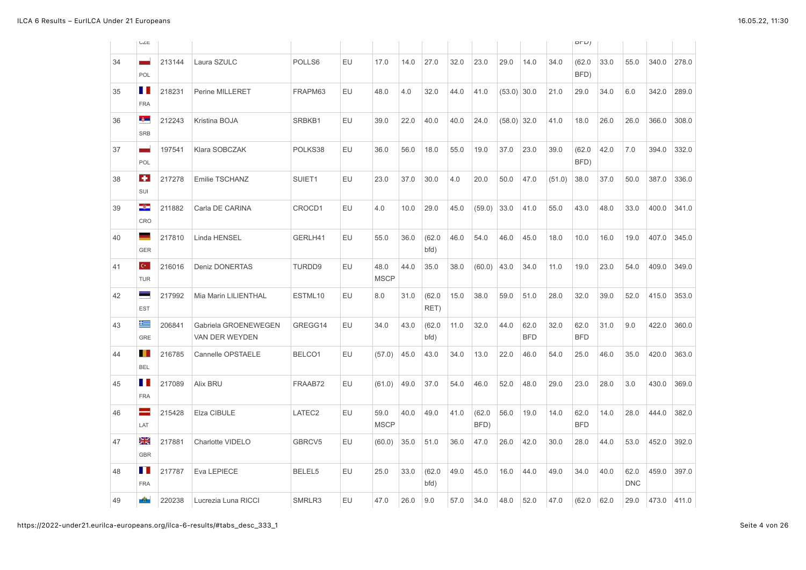|    | Ü∠E                    |        |                                        |         |    |                     |      |                |      |                |               |                    |        | DFD                |      |                    |       |       |
|----|------------------------|--------|----------------------------------------|---------|----|---------------------|------|----------------|------|----------------|---------------|--------------------|--------|--------------------|------|--------------------|-------|-------|
| 34 | ۰<br>POL               | 213144 | Laura SZULC                            | POLLS6  | EU | 17.0                | 14.0 | 27.0           | 32.0 | 23.0           | 29.0          | 14.0               | 34.0   | (62.0)<br>BFD)     | 33.0 | 55.0               | 340.0 | 278.0 |
| 35 | ш<br><b>FRA</b>        | 218231 | Perine MILLERET                        | FRAPM63 | EU | 48.0                | 4.0  | 32.0           | 44.0 | 41.0           | $(53.0)$ 30.0 |                    | 21.0   | 29.0               | 34.0 | 6.0                | 342.0 | 289.0 |
| 36 | $\delta$<br><b>SRB</b> | 212243 | Kristina BOJA                          | SRBKB1  | EU | 39.0                | 22.0 | 40.0           | 40.0 | 24.0           | $(58.0)$ 32.0 |                    | 41.0   | 18.0               | 26.0 | 26.0               | 366.0 | 308.0 |
| 37 | ۰<br>POL               | 197541 | Klara SOBCZAK                          | POLKS38 | EU | 36.0                | 56.0 | 18.0           | 55.0 | 19.0           | 37.0          | 23.0               | 39.0   | (62.0)<br>BFD)     | 42.0 | 7.0                | 394.0 | 332.0 |
| 38 | ۰<br>SUI               | 217278 | Emilie TSCHANZ                         | SUIET1  | EU | 23.0                | 37.0 | 30.0           | 4.0  | 20.0           | 50.0          | 47.0               | (51.0) | 38.0               | 37.0 | 50.0               | 387.0 | 336.0 |
| 39 | ÷<br>CRO               | 211882 | Carla DE CARINA                        | CROCD1  | EU | 4.0                 | 10.0 | 29.0           | 45.0 | (59.0)         | 33.0          | 41.0               | 55.0   | 43.0               | 48.0 | 33.0               | 400.0 | 341.0 |
| 40 | ۰<br><b>GER</b>        | 217810 | Linda HENSEL                           | GERLH41 | EU | 55.0                | 36.0 | (62.0)<br>bfd) | 46.0 | 54.0           | 46.0          | 45.0               | 18.0   | 10.0               | 16.0 | 19.0               | 407.0 | 345.0 |
| 41 | $C^*$<br><b>TUR</b>    | 216016 | Deniz DONERTAS                         | TURDD9  | EU | 48.0<br><b>MSCP</b> | 44.0 | 35.0           | 38.0 | (60.0)         | 43.0          | 34.0               | 11.0   | 19.0               | 23.0 | 54.0               | 409.0 | 349.0 |
| 42 | -<br><b>EST</b>        | 217992 | Mia Marin LILIENTHAL                   | ESTML10 | EU | 8.0                 | 31.0 | (62.0)<br>RET) | 15.0 | 38.0           | 59.0          | 51.0               | 28.0   | 32.0               | 39.0 | 52.0               | 415.0 | 353.0 |
| 43 | 隼<br>GRE               | 206841 | Gabriela GROENEWEGEN<br>VAN DER WEYDEN | GREGG14 | EU | 34.0                | 43.0 | (62.0)<br>bfd) | 11.0 | 32.0           | 44.0          | 62.0<br><b>BFD</b> | 32.0   | 62.0<br><b>BFD</b> | 31.0 | 9.0                | 422.0 | 360.0 |
| 44 | <b>BEL</b>             | 216785 | Cannelle OPSTAELE                      | BELCO1  | EU | (57.0)              | 45.0 | 43.0           | 34.0 | 13.0           | 22.0          | 46.0               | 54.0   | 25.0               | 46.0 | 35.0               | 420.0 | 363.0 |
| 45 | ш<br><b>FRA</b>        | 217089 | Alix BRU                               | FRAAB72 | EU | (61.0)              | 49.0 | 37.0           | 54.0 | 46.0           | 52.0          | 48.0               | 29.0   | 23.0               | 28.0 | 3.0                | 430.0 | 369.0 |
| 46 | -<br>LAT               | 215428 | Elza CIBULE                            | LATEC2  | EU | 59.0<br><b>MSCP</b> | 40.0 | 49.0           | 41.0 | (62.0)<br>BFD) | 56.0          | 19.0               | 14.0   | 62.0<br><b>BFD</b> | 14.0 | 28.0               | 444.0 | 382.0 |
| 47 | à≼<br><b>GBR</b>       | 217881 | Charlotte VIDELO                       | GBRCV5  | EU | (60.0)              | 35.0 | 51.0           | 36.0 | 47.0           | 26.0          | 42.0               | 30.0   | 28.0               | 44.0 | 53.0               | 452.0 | 392.0 |
| 48 | ш<br><b>FRA</b>        | 217787 | Eva LEPIECE                            | BELEL5  | EU | 25.0                | 33.0 | (62.0)<br>bfd) | 49.0 | 45.0           | 16.0          | 44.0               | 49.0   | 34.0               | 40.0 | 62.0<br><b>DNC</b> | 459.0 | 397.0 |
| 49 | ÷                      | 220238 | Lucrezia Luna RICCI                    | SMRLR3  | EU | 47.0                | 26.0 | 9.0            | 57.0 | 34.0           | 48.0          | 52.0               | 47.0   | (62.0)             | 62.0 | 29.0               | 473.0 | 411.0 |